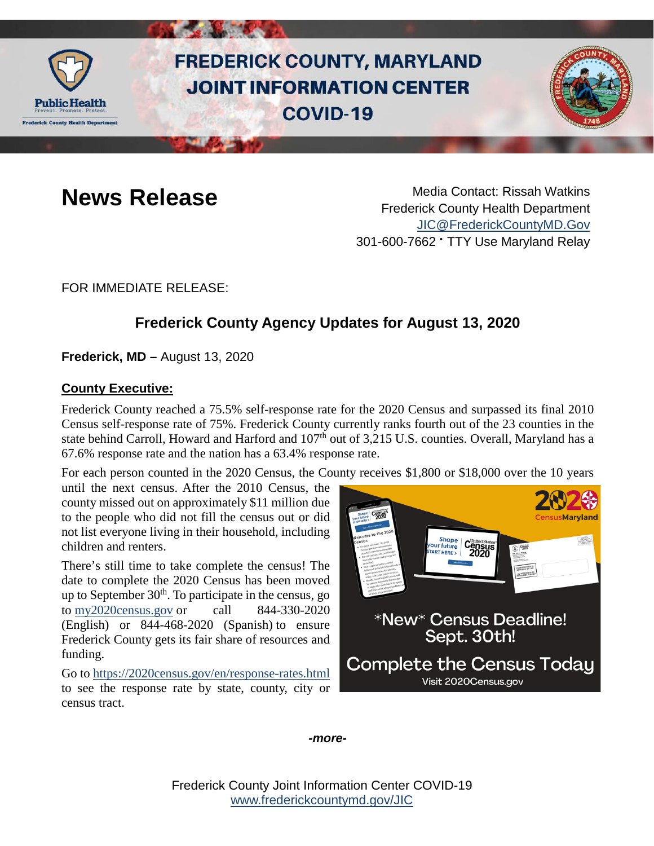

# **FREDERICK COUNTY, MARYLAND JOINT INFORMATION CENTER COVID-19**



**News Release** Media Contact: Rissah Watkins Frederick County Health Department [JIC@FrederickCountyMD.Gov](mailto:JIC@FrederickCountyMD.Gov) 301-600-7662 • TTY Use Maryland Relay

FOR IMMEDIATE RELEASE:

## **Frederick County Agency Updates for August 13, 2020**

**Frederick, MD –** August 13, 2020

#### **County Executive:**

Frederick County reached a 75.5% self-response rate for the 2020 Census and surpassed its final 2010 Census self-response rate of 75%. Frederick County currently ranks fourth out of the 23 counties in the state behind Carroll, Howard and Harford and 107<sup>th</sup> out of 3,215 U.S. counties. Overall, Maryland has a 67.6% response rate and the nation has a 63.4% response rate.

For each person counted in the 2020 Census, the County receives \$1,800 or \$18,000 over the 10 years

until the next census. After the 2010 Census, the county missed out on approximately \$11 million due to the people who did not fill the census out or did not list everyone living in their household, including children and renters.

There's still time to take complete the census! The date to complete the 2020 Census has been moved up to September  $30<sup>th</sup>$ . To participate in the census, go to [my2020census.gov](https://my2020census.gov/) or call 844-330-2020 (English) or 844-468-2020 (Spanish) to ensure Frederick County gets its fair share of resources and funding.

Go to<https://2020census.gov/en/response-rates.html> to see the response rate by state, county, city or census tract.



*-more-*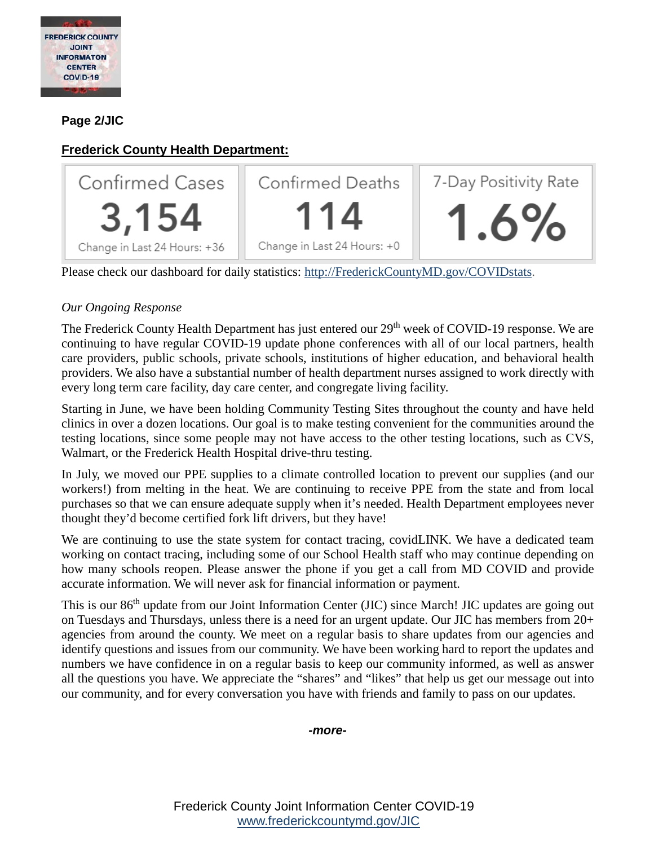

#### **Page 2/JIC**

### **Frederick County Health Department:**



Please check our dashboard for daily statistics: [http://FrederickCountyMD.gov/COVIDstats.](http://frederickcountymd.gov/COVIDstats)

#### *Our Ongoing Response*

The Frederick County Health Department has just entered our 29<sup>th</sup> week of COVID-19 response. We are continuing to have regular COVID-19 update phone conferences with all of our local partners, health care providers, public schools, private schools, institutions of higher education, and behavioral health providers. We also have a substantial number of health department nurses assigned to work directly with every long term care facility, day care center, and congregate living facility.

Starting in June, we have been holding Community Testing Sites throughout the county and have held clinics in over a dozen locations. Our goal is to make testing convenient for the communities around the testing locations, since some people may not have access to the other testing locations, such as CVS, Walmart, or the Frederick Health Hospital drive-thru testing.

In July, we moved our PPE supplies to a climate controlled location to prevent our supplies (and our workers!) from melting in the heat. We are continuing to receive PPE from the state and from local purchases so that we can ensure adequate supply when it's needed. Health Department employees never thought they'd become certified fork lift drivers, but they have!

We are continuing to use the state system for contact tracing, covidLINK. We have a dedicated team working on contact tracing, including some of our School Health staff who may continue depending on how many schools reopen. Please answer the phone if you get a call from MD COVID and provide accurate information. We will never ask for financial information or payment.

This is our 86<sup>th</sup> update from our Joint Information Center (JIC) since March! JIC updates are going out on Tuesdays and Thursdays, unless there is a need for an urgent update. Our JIC has members from 20+ agencies from around the county. We meet on a regular basis to share updates from our agencies and identify questions and issues from our community. We have been working hard to report the updates and numbers we have confidence in on a regular basis to keep our community informed, as well as answer all the questions you have. We appreciate the "shares" and "likes" that help us get our message out into our community, and for every conversation you have with friends and family to pass on our updates.

*-more-*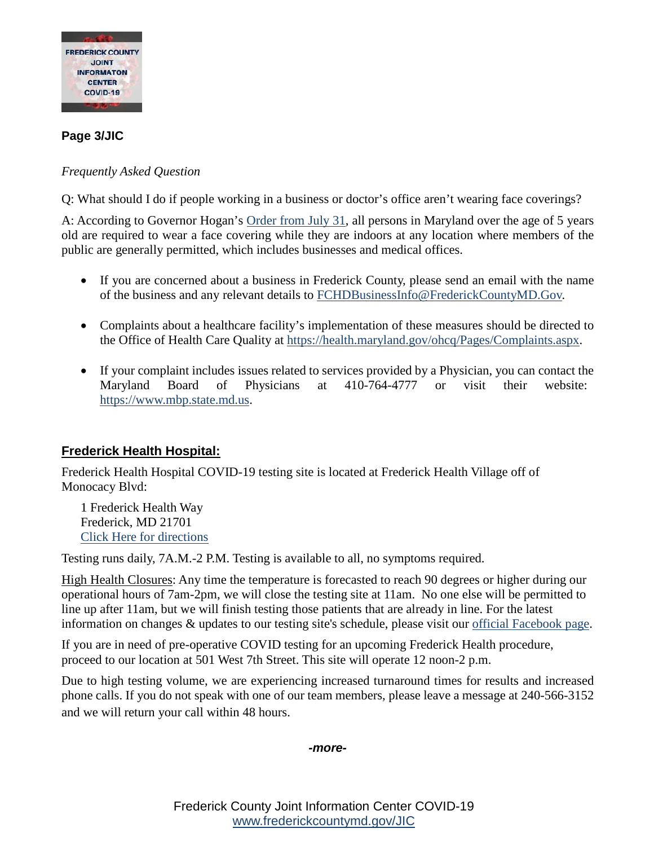

#### **Page 3/JIC**

#### *Frequently Asked Question*

Q: What should I do if people working in a business or doctor's office aren't wearing face coverings?

A: According to Governor Hogan's [Order from July 31,](https://governor.maryland.gov/wp-content/uploads/2020/07/Gatherings-10th-AMENDED-7.29.20.pdf) all persons in Maryland over the age of 5 years old are required to wear a face covering while they are indoors at any location where members of the public are generally permitted, which includes businesses and medical offices.

- If you are concerned about a business in Frederick County, please send an email with the name of the business and any relevant details to [FCHDBusinessInfo@FrederickCountyMD.Gov.](mailto:FCHDBusinessInfo@FrederickCountyMD.Gov)
- Complaints about a healthcare facility's implementation of these measures should be directed to the Office of Health Care Quality at [https://health.maryland.gov/ohcq/Pages/Complaints.aspx.](https://health.maryland.gov/ohcq/Pages/Complaints.aspx)
- If your complaint includes issues related to services provided by a Physician, you can contact the Maryland Board of Physicians at 410-764-4777 or visit their website: [https://www.mbp.state.md.us.](https://www.mbp.state.md.us/)

#### **Frederick Health Hospital:**

Frederick Health Hospital COVID-19 testing site is located at Frederick Health Village off of Monocacy Blvd:

1 Frederick Health Way Frederick, MD 21701 [Click Here for directions](https://urldefense.com/v3/__https:/goo.gl/maps/d5TZ4av5yXetu8xHA__;!!I2-OFBIJoQBJqqeup9g!WmTYd1bweOB5nGkUqrCRaOOYimYRsnYu1OLnCKzLzUMN4zbitAGcqI-djHSC7Y2VDNfuTYlHh7r9aw$)

Testing runs daily, 7A.M.-2 P.M. Testing is available to all, no symptoms required.

High Health Closures: Any time the temperature is forecasted to reach 90 degrees or higher during our operational hours of 7am-2pm, we will close the testing site at 11am. No one else will be permitted to line up after 11am, but we will finish testing those patients that are already in line. For the latest information on changes & updates to our testing site's schedule, please visit our [official Facebook page.](https://www.facebook.com/frederickhealth)

If you are in need of pre-operative COVID testing for an upcoming Frederick Health procedure, proceed to our location at 501 West 7th Street. This site will operate 12 noon-2 p.m.

Due to high testing volume, we are experiencing increased turnaround times for results and increased phone calls. If you do not speak with one of our team members, please leave a message at 240-566-3152 and we will return your call within 48 hours.

*-more-*